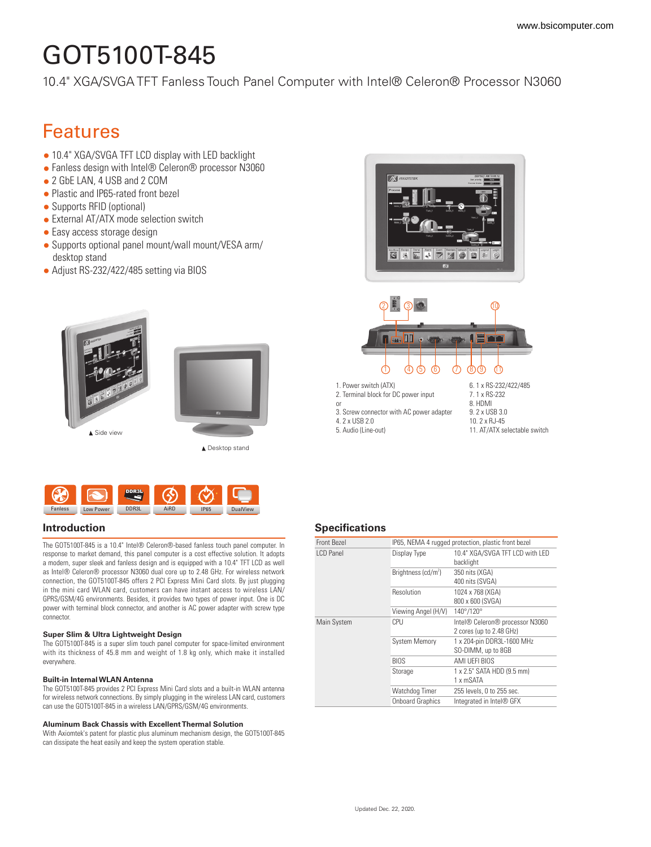# GOT5100T-845

[10.4" XGA/SVGA TFT Fanless Touch Panel Computer with Intel® Celeron® Processor N3060](https://www.bsicomputer.com/products/got5100t-845-20704)

## Features

- 10.4" XGA/SVGA TFT LCD display with LED backlight
- Fanless design with Intel® Celeron® processor N3060
- 2 GbE LAN, 4 USB and 2 COM
- Plastic and IP65-rated front bezel
- Supports RFID (optional)
- External AT/ATX mode selection switch
- Easy access storage design
- Supports optional panel mount/wall mount/VESA arm/ desktop stand
- Adjust RS-232/422/485 setting via BIOS





The GOT5100T-845 is a 10.4" Intel® Celeron®-based fanless touch panel computer. In response to market demand, this panel computer is a cost effective solution. It adopts a modern, super sleek and fanless design and is equipped with a 10.4" TFT LCD as well as Intel® Celeron® processor N3060 dual core up to 2.48 GHz. For wireless network connection, the GOT5100T-845 offers 2 PCI Express Mini Card slots. By just plugging in the mini card WLAN card, customers can have instant access to wireless LAN/ GPRS/GSM/4G environments. Besides, it provides two types of power input. One is DC power with terminal block connector, and another is AC power adapter with screw type connector.

#### **Super Slim & Ultra Lightweight Design**

The GOT5100T-845 is a super slim touch panel computer for space-limited environment with its thickness of 45.8 mm and weight of 1.8 kg only, which make it installed everywhere.

#### **Built-in Internal WLAN Antenna**

The GOT5100T-845 provides 2 PCI Express Mini Card slots and a built-in WLAN antenna for wireless network connections. By simply plugging in the wireless LAN card, customers can use the GOT5100T-845 in a wireless LAN/GPRS/GSM/4G environments.

#### **Aluminum Back Chassis with Excellent Thermal Solution**

With Axiomtek's patent for plastic plus aluminum mechanism design, the GOT5100T-845 can dissipate the heat easily and keep the system operation stable.



#### **Introduction Specifications**

| <b>Front Bezel</b> | IP65, NEMA 4 rugged protection, plastic front bezel |                                 |
|--------------------|-----------------------------------------------------|---------------------------------|
| I CD Panel         | Display Type                                        | 10.4" XGA/SVGA TFT LCD with LED |
|                    |                                                     | backlight                       |
|                    | Brightness (cd/m <sup>2</sup> )                     | 350 nits (XGA)                  |
|                    |                                                     | 400 nits (SVGA)                 |
|                    | Resolution                                          | 1024 x 768 (XGA)                |
|                    |                                                     | 800 x 600 (SVGA)                |
|                    | Viewing Angel (H/V)                                 | 140°/120°                       |
| Main System        | CPU                                                 | Intel® Celeron® processor N3060 |
|                    |                                                     | 2 cores (up to 2.48 GHz)        |
|                    | <b>System Memory</b>                                | 1 x 204-pin DDR3L-1600 MHz      |
|                    |                                                     | SO-DIMM, up to 8GB              |
|                    | <b>BIOS</b>                                         | AMI UEFI BIOS                   |
|                    | Storage                                             | 1 x 2.5" SATA HDD (9.5 mm)      |
|                    |                                                     | 1 x mSATA                       |
|                    | Watchdog Timer                                      | 255 levels, 0 to 255 sec.       |
|                    | <b>Onboard Graphics</b>                             | Integrated in Intel® GFX        |